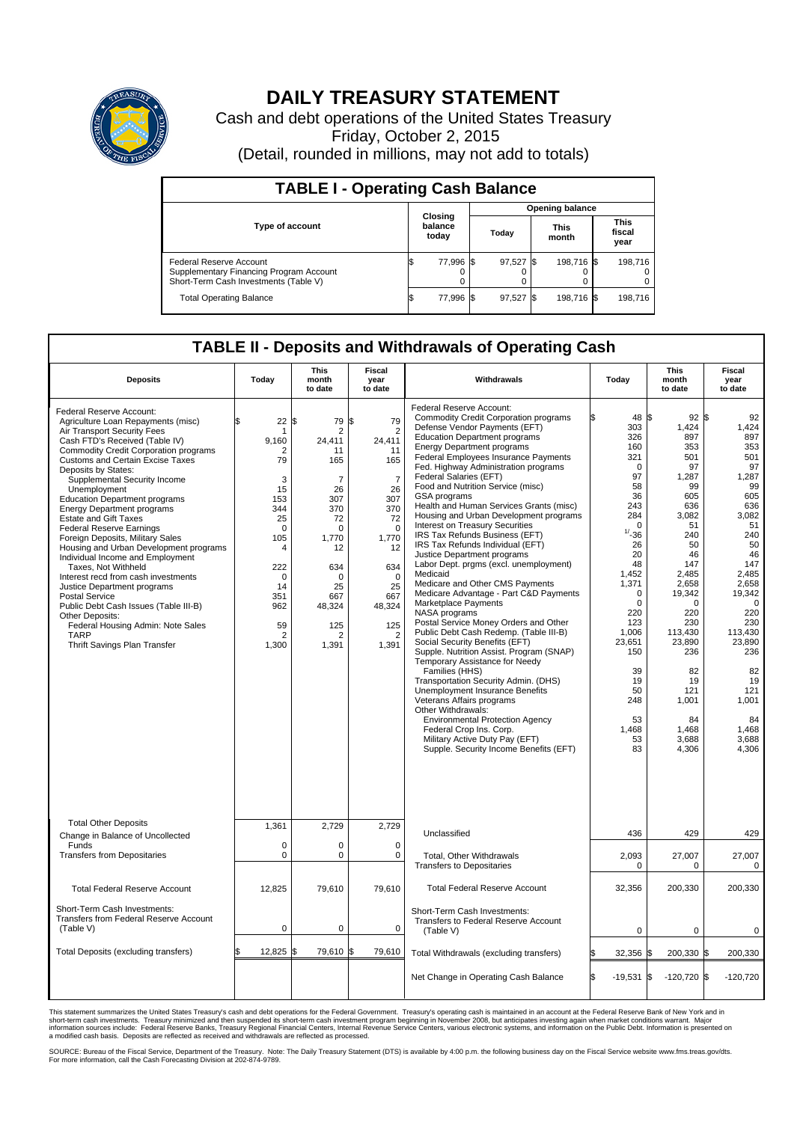

## **DAILY TREASURY STATEMENT**

Cash and debt operations of the United States Treasury Friday, October 2, 2015 (Detail, rounded in millions, may not add to totals)

| <b>TABLE I - Operating Cash Balance</b>                                                                     |  |                             |  |                        |  |                      |  |                               |  |  |  |
|-------------------------------------------------------------------------------------------------------------|--|-----------------------------|--|------------------------|--|----------------------|--|-------------------------------|--|--|--|
|                                                                                                             |  |                             |  | <b>Opening balance</b> |  |                      |  |                               |  |  |  |
| Type of account                                                                                             |  | Closing<br>balance<br>today |  | Today                  |  | <b>This</b><br>month |  | <b>This</b><br>fiscal<br>year |  |  |  |
| Federal Reserve Account<br>Supplementary Financing Program Account<br>Short-Term Cash Investments (Table V) |  | 77,996 \$                   |  | 97,527 \$              |  | 198.716 \$           |  | 198.716                       |  |  |  |
| <b>Total Operating Balance</b>                                                                              |  | 77,996 \$                   |  | 97,527 \$              |  | 198,716 \$           |  | 198,716                       |  |  |  |

## **TABLE II - Deposits and Withdrawals of Operating Cash**

| <b>Deposits</b>                                                                                                                                                                                                                                                                                                                                                                                                                                                                                                                                                                                                                                                                                                                                                                                                                           | Today                                                                                                                                                             | This<br>month<br>to date                                                                                                                                                                             | Fiscal<br>year<br>to date                                                                                                                                                                | Withdrawals                                                                                                                                                                                                                                                                                                                                                                                                                                                                                                                                                                                                                                                                                                                                                                                                                                                                                                                                                                                                                                                                                                                                                                                                                                                                      | Today                                                                                                                                                                                                                                                         | <b>This</b><br>month<br>to date                                                                                                                                                                                                                            | Fiscal<br>year<br>to date                                                                                                                                                                                                                                      |
|-------------------------------------------------------------------------------------------------------------------------------------------------------------------------------------------------------------------------------------------------------------------------------------------------------------------------------------------------------------------------------------------------------------------------------------------------------------------------------------------------------------------------------------------------------------------------------------------------------------------------------------------------------------------------------------------------------------------------------------------------------------------------------------------------------------------------------------------|-------------------------------------------------------------------------------------------------------------------------------------------------------------------|------------------------------------------------------------------------------------------------------------------------------------------------------------------------------------------------------|------------------------------------------------------------------------------------------------------------------------------------------------------------------------------------------|----------------------------------------------------------------------------------------------------------------------------------------------------------------------------------------------------------------------------------------------------------------------------------------------------------------------------------------------------------------------------------------------------------------------------------------------------------------------------------------------------------------------------------------------------------------------------------------------------------------------------------------------------------------------------------------------------------------------------------------------------------------------------------------------------------------------------------------------------------------------------------------------------------------------------------------------------------------------------------------------------------------------------------------------------------------------------------------------------------------------------------------------------------------------------------------------------------------------------------------------------------------------------------|---------------------------------------------------------------------------------------------------------------------------------------------------------------------------------------------------------------------------------------------------------------|------------------------------------------------------------------------------------------------------------------------------------------------------------------------------------------------------------------------------------------------------------|----------------------------------------------------------------------------------------------------------------------------------------------------------------------------------------------------------------------------------------------------------------|
| Federal Reserve Account:<br>Agriculture Loan Repayments (misc)<br>Air Transport Security Fees<br>Cash FTD's Received (Table IV)<br><b>Commodity Credit Corporation programs</b><br><b>Customs and Certain Excise Taxes</b><br>Deposits by States:<br>Supplemental Security Income<br>Unemployment<br><b>Education Department programs</b><br><b>Energy Department programs</b><br><b>Estate and Gift Taxes</b><br><b>Federal Reserve Earnings</b><br>Foreign Deposits, Military Sales<br>Housing and Urban Development programs<br>Individual Income and Employment<br>Taxes, Not Withheld<br>Interest recd from cash investments<br>Justice Department programs<br><b>Postal Service</b><br>Public Debt Cash Issues (Table III-B)<br>Other Deposits:<br>Federal Housing Admin: Note Sales<br><b>TARP</b><br>Thrift Savings Plan Transfer | 22<br>\$.<br>1<br>9,160<br>2<br>79<br>3<br>15<br>153<br>344<br>25<br>$\Omega$<br>105<br>4<br>222<br>$\Omega$<br>14<br>351<br>962<br>59<br>$\overline{2}$<br>1,300 | \$<br>79<br>$\overline{2}$<br>24.411<br>11<br>165<br>$\overline{7}$<br>26<br>307<br>370<br>72<br>$\Omega$<br>1,770<br>12<br>634<br>$\Omega$<br>25<br>667<br>48,324<br>125<br>$\overline{2}$<br>1,391 | l\$<br>79<br>$\overline{2}$<br>24,411<br>11<br>165<br>$\overline{7}$<br>26<br>307<br>370<br>72<br>$\Omega$<br>1,770<br>12<br>634<br>$\Omega$<br>25<br>667<br>48,324<br>125<br>2<br>1,391 | Federal Reserve Account:<br><b>Commodity Credit Corporation programs</b><br>Defense Vendor Payments (EFT)<br><b>Education Department programs</b><br><b>Energy Department programs</b><br><b>Federal Employees Insurance Payments</b><br>Fed. Highway Administration programs<br>Federal Salaries (EFT)<br>Food and Nutrition Service (misc)<br><b>GSA</b> programs<br>Health and Human Services Grants (misc)<br>Housing and Urban Development programs<br>Interest on Treasury Securities<br>IRS Tax Refunds Business (EFT)<br>IRS Tax Refunds Individual (EFT)<br>Justice Department programs<br>Labor Dept. prgms (excl. unemployment)<br>Medicaid<br>Medicare and Other CMS Payments<br>Medicare Advantage - Part C&D Payments<br>Marketplace Payments<br>NASA programs<br>Postal Service Money Orders and Other<br>Public Debt Cash Redemp. (Table III-B)<br>Social Security Benefits (EFT)<br>Supple. Nutrition Assist. Program (SNAP)<br>Temporary Assistance for Needy<br>Families (HHS)<br>Transportation Security Admin. (DHS)<br>Unemployment Insurance Benefits<br>Veterans Affairs programs<br>Other Withdrawals:<br><b>Environmental Protection Agency</b><br>Federal Crop Ins. Corp.<br>Military Active Duty Pay (EFT)<br>Supple. Security Income Benefits (EFT) | 48 \$<br>303<br>326<br>160<br>321<br>$\Omega$<br>97<br>58<br>36<br>243<br>284<br>$\mathbf 0$<br>$1/ - 36$<br>26<br>20<br>48<br>1,452<br>1,371<br>$\mathbf 0$<br>0<br>220<br>123<br>1.006<br>23,651<br>150<br>39<br>19<br>50<br>248<br>53<br>1,468<br>53<br>83 | $92 $ \$<br>1,424<br>897<br>353<br>501<br>97<br>1,287<br>99<br>605<br>636<br>3,082<br>51<br>240<br>50<br>46<br>147<br>2,485<br>2.658<br>19,342<br>0<br>220<br>230<br>113.430<br>23,890<br>236<br>82<br>19<br>121<br>1,001<br>84<br>1,468<br>3,688<br>4,306 | 92<br>1,424<br>897<br>353<br>501<br>97<br>1,287<br>99<br>605<br>636<br>3,082<br>51<br>240<br>50<br>46<br>147<br>2,485<br>2,658<br>19,342<br>$\mathbf 0$<br>220<br>230<br>113.430<br>23,890<br>236<br>82<br>19<br>121<br>1,001<br>84<br>1,468<br>3,688<br>4,306 |
| <b>Total Other Deposits</b><br>Change in Balance of Uncollected                                                                                                                                                                                                                                                                                                                                                                                                                                                                                                                                                                                                                                                                                                                                                                           | 1,361                                                                                                                                                             | 2,729                                                                                                                                                                                                | 2,729                                                                                                                                                                                    | Unclassified                                                                                                                                                                                                                                                                                                                                                                                                                                                                                                                                                                                                                                                                                                                                                                                                                                                                                                                                                                                                                                                                                                                                                                                                                                                                     | 436                                                                                                                                                                                                                                                           | 429                                                                                                                                                                                                                                                        | 429                                                                                                                                                                                                                                                            |
| Funds<br><b>Transfers from Depositaries</b>                                                                                                                                                                                                                                                                                                                                                                                                                                                                                                                                                                                                                                                                                                                                                                                               | $\mathbf 0$<br>$\mathbf 0$                                                                                                                                        | 0<br>0                                                                                                                                                                                               | $\mathbf 0$<br>0                                                                                                                                                                         | Total, Other Withdrawals<br><b>Transfers to Depositaries</b>                                                                                                                                                                                                                                                                                                                                                                                                                                                                                                                                                                                                                                                                                                                                                                                                                                                                                                                                                                                                                                                                                                                                                                                                                     | 2,093<br>0                                                                                                                                                                                                                                                    | 27,007<br>$\Omega$                                                                                                                                                                                                                                         | 27,007<br>0                                                                                                                                                                                                                                                    |
| <b>Total Federal Reserve Account</b>                                                                                                                                                                                                                                                                                                                                                                                                                                                                                                                                                                                                                                                                                                                                                                                                      | 12.825                                                                                                                                                            | 79.610                                                                                                                                                                                               | 79.610                                                                                                                                                                                   | <b>Total Federal Reserve Account</b>                                                                                                                                                                                                                                                                                                                                                                                                                                                                                                                                                                                                                                                                                                                                                                                                                                                                                                                                                                                                                                                                                                                                                                                                                                             | 32,356                                                                                                                                                                                                                                                        | 200,330                                                                                                                                                                                                                                                    | 200,330                                                                                                                                                                                                                                                        |
| Short-Term Cash Investments:<br><b>Transfers from Federal Reserve Account</b><br>(Table V)                                                                                                                                                                                                                                                                                                                                                                                                                                                                                                                                                                                                                                                                                                                                                | 0                                                                                                                                                                 | 0                                                                                                                                                                                                    | 0                                                                                                                                                                                        | Short-Term Cash Investments:<br>Transfers to Federal Reserve Account<br>(Table V)                                                                                                                                                                                                                                                                                                                                                                                                                                                                                                                                                                                                                                                                                                                                                                                                                                                                                                                                                                                                                                                                                                                                                                                                | $\mathbf 0$                                                                                                                                                                                                                                                   | 0                                                                                                                                                                                                                                                          | 0                                                                                                                                                                                                                                                              |
| Total Deposits (excluding transfers)                                                                                                                                                                                                                                                                                                                                                                                                                                                                                                                                                                                                                                                                                                                                                                                                      | 12,825                                                                                                                                                            | \$<br>79,610 \$                                                                                                                                                                                      | 79,610                                                                                                                                                                                   | Total Withdrawals (excluding transfers)                                                                                                                                                                                                                                                                                                                                                                                                                                                                                                                                                                                                                                                                                                                                                                                                                                                                                                                                                                                                                                                                                                                                                                                                                                          | 32,356                                                                                                                                                                                                                                                        | 200,330 \$<br>l\$                                                                                                                                                                                                                                          | 200,330                                                                                                                                                                                                                                                        |
|                                                                                                                                                                                                                                                                                                                                                                                                                                                                                                                                                                                                                                                                                                                                                                                                                                           |                                                                                                                                                                   |                                                                                                                                                                                                      |                                                                                                                                                                                          | Net Change in Operating Cash Balance                                                                                                                                                                                                                                                                                                                                                                                                                                                                                                                                                                                                                                                                                                                                                                                                                                                                                                                                                                                                                                                                                                                                                                                                                                             | l\$<br>$-19,531$ \$                                                                                                                                                                                                                                           | $-120,720$ \$                                                                                                                                                                                                                                              | $-120,720$                                                                                                                                                                                                                                                     |

This statement summarizes the United States Treasury's cash and debt operations for the Federal Government. Treasury's operating cash is maintained in an account at the Federal Reserve Bank of New York and in<br>short-term ca

SOURCE: Bureau of the Fiscal Service, Department of the Treasury. Note: The Daily Treasury Statement (DTS) is available by 4:00 p.m. the following business day on the Fiscal Service website www.fms.treas.gov/dts.<br>For more